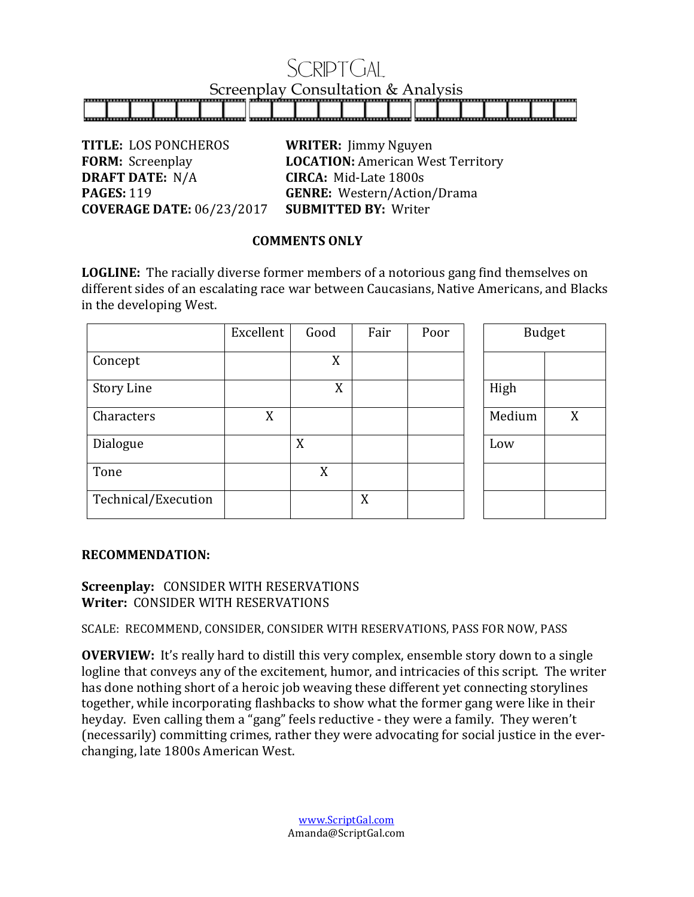# SRIPT(FAL Screenplay Consultation & Analysis

**TITLE:** LOS PONCHEROS **WRITER:** Jimmy Nguyen **DRAFT DATE:** N/A **CIRCA:** Mid-Late 1800s **COVERAGE DATE:** 06/23/2017 **SUBMITTED BY:** Writer

**FORM:** Screenplay **LOCATION:** American West Territory **PAGES:** 119 **GENRE:** Western/Action/Drama

### **COMMENTS ONLY**

**LOGLINE:** The racially diverse former members of a notorious gang find themselves on different sides of an escalating race war between Caucasians, Native Americans, and Blacks in the developing West.

|                     | Excellent | Good | Fair | Poor | <b>Budget</b> |   |
|---------------------|-----------|------|------|------|---------------|---|
| Concept             |           | X    |      |      |               |   |
| <b>Story Line</b>   |           | X    |      |      | High          |   |
| Characters          | X         |      |      |      | Medium        | X |
| Dialogue            |           | X    |      |      | Low           |   |
| Tone                |           | X    |      |      |               |   |
| Technical/Execution |           |      | X    |      |               |   |

## **RECOMMENDATION:**

# **Screenplay: CONSIDER WITH RESERVATIONS Writer: CONSIDER WITH RESERVATIONS**

SCALE: RECOMMEND, CONSIDER, CONSIDER WITH RESERVATIONS, PASS FOR NOW, PASS

**OVERVIEW:** It's really hard to distill this very complex, ensemble story down to a single logline that conveys any of the excitement, humor, and intricacies of this script. The writer has done nothing short of a heroic job weaving these different yet connecting storylines together, while incorporating flashbacks to show what the former gang were like in their heyday. Even calling them a "gang" feels reductive - they were a family. They weren't (necessarily) committing crimes, rather they were advocating for social justice in the everchanging, late 1800s American West.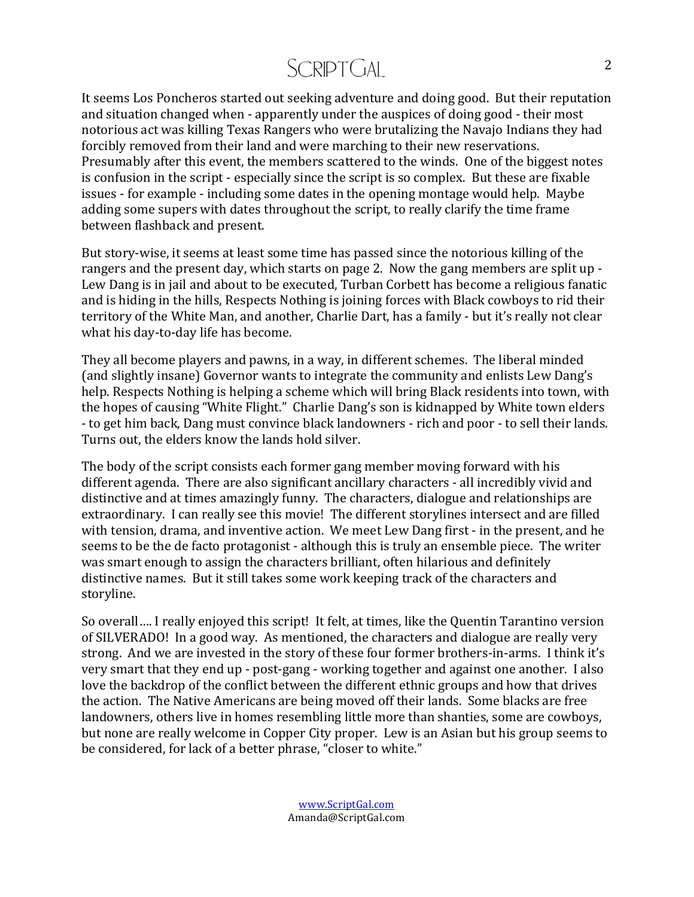# SCRIPTGAL

It seems Los Poncheros started out seeking adventure and doing good. But their reputation and situation changed when - apparently under the auspices of doing good - their most notorious act was killing Texas Rangers who were brutalizing the Navajo Indians they had forcibly removed from their land and were marching to their new reservations. Presumably after this event, the members scattered to the winds. One of the biggest notes is confusion in the script - especially since the script is so complex. But these are fixable issues - for example - including some dates in the opening montage would help. Maybe adding some supers with dates throughout the script, to really clarify the time frame between flashback and present.

But story-wise, it seems at least some time has passed since the notorious killing of the rangers and the present day, which starts on page 2. Now the gang members are split up -Lew Dang is in jail and about to be executed, Turban Corbett has become a religious fanatic and is hiding in the hills, Respects Nothing is joining forces with Black cowboys to rid their territory of the White Man, and another, Charlie Dart, has a family - but it's really not clear what his day-to-day life has become.

They all become players and pawns, in a way, in different schemes. The liberal minded (and slightly insane) Governor wants to integrate the community and enlists Lew Dang's help. Respects Nothing is helping a scheme which will bring Black residents into town, with the hopes of causing "White Flight." Charlie Dang's son is kidnapped by White town elders - to get him back, Dang must convince black landowners - rich and poor - to sell their lands. Turns out, the elders know the lands hold silver.

The body of the script consists each former gang member moving forward with his different agenda. There are also significant ancillary characters - all incredibly vivid and distinctive and at times amazingly funny. The characters, dialogue and relationships are extraordinary. I can really see this movie! The different storylines intersect and are filled with tension, drama, and inventive action. We meet Lew Dang first - in the present, and he seems to be the de facto protagonist - although this is truly an ensemble piece. The writer was smart enough to assign the characters brilliant, often hilarious and definitely distinctive names. But it still takes some work keeping track of the characters and storyline. 

So overall.... I really enjoyed this script! It felt, at times, like the Quentin Tarantino version of SILVERADO! In a good way. As mentioned, the characters and dialogue are really very strong. And we are invested in the story of these four former brothers-in-arms. I think it's very smart that they end up - post-gang - working together and against one another. I also love the backdrop of the conflict between the different ethnic groups and how that drives the action. The Native Americans are being moved off their lands. Some blacks are free landowners, others live in homes resembling little more than shanties, some are cowboys, but none are really welcome in Copper City proper. Lew is an Asian but his group seems to be considered, for lack of a better phrase, "closer to white."

> www.ScriptGal.com Amanda@ScriptGal.com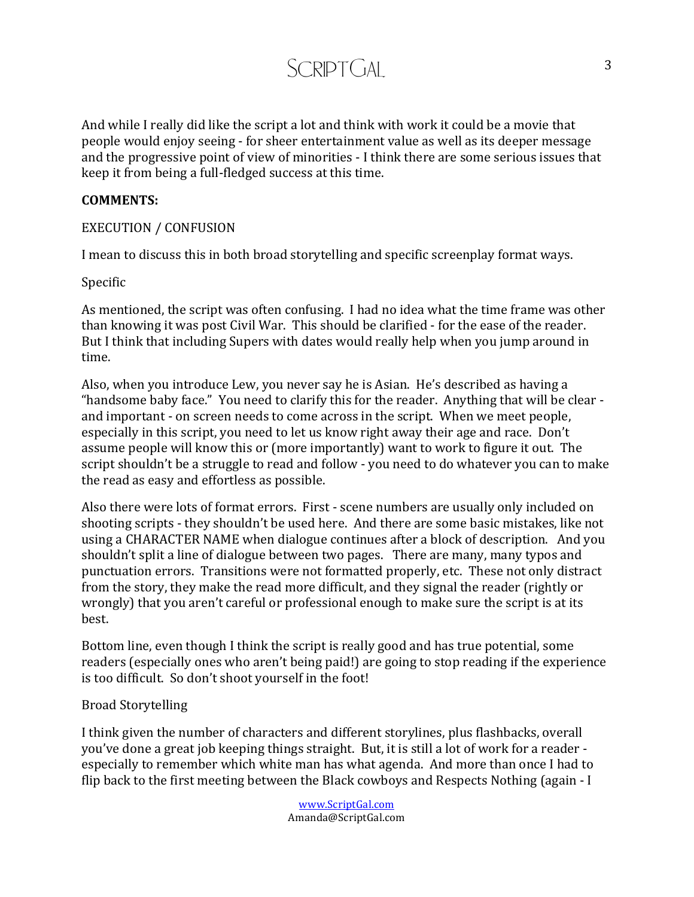And while I really did like the script a lot and think with work it could be a movie that people would enjoy seeing - for sheer entertainment value as well as its deeper message and the progressive point of view of minorities - I think there are some serious issues that keep it from being a full-fledged success at this time.

SCRIPT<sub>C</sub>IAI

#### **COMMENTS:**

#### EXECUTION / CONFUSION

I mean to discuss this in both broad storytelling and specific screenplay format ways.

Specific

As mentioned, the script was often confusing. I had no idea what the time frame was other than knowing it was post Civil War. This should be clarified - for the ease of the reader. But I think that including Supers with dates would really help when you jump around in time. 

Also, when you introduce Lew, you never say he is Asian. He's described as having a "handsome baby face." You need to clarify this for the reader. Anything that will be clear and important - on screen needs to come across in the script. When we meet people, especially in this script, you need to let us know right away their age and race. Don't assume people will know this or (more importantly) want to work to figure it out. The script shouldn't be a struggle to read and follow - you need to do whatever you can to make the read as easy and effortless as possible.

Also there were lots of format errors. First - scene numbers are usually only included on shooting scripts - they shouldn't be used here. And there are some basic mistakes, like not using a CHARACTER NAME when dialogue continues after a block of description. And you shouldn't split a line of dialogue between two pages. There are many, many typos and punctuation errors. Transitions were not formatted properly, etc. These not only distract from the story, they make the read more difficult, and they signal the reader (rightly or wrongly) that you aren't careful or professional enough to make sure the script is at its best. 

Bottom line, even though I think the script is really good and has true potential, some readers (especially ones who aren't being paid!) are going to stop reading if the experience is too difficult. So don't shoot yourself in the foot!

#### Broad Storytelling

I think given the number of characters and different storylines, plus flashbacks, overall you've done a great job keeping things straight. But, it is still a lot of work for a reader especially to remember which white man has what agenda. And more than once I had to flip back to the first meeting between the Black cowboys and Respects Nothing (again  $-1$ )

> www.ScriptGal.com Amanda@ScriptGal.com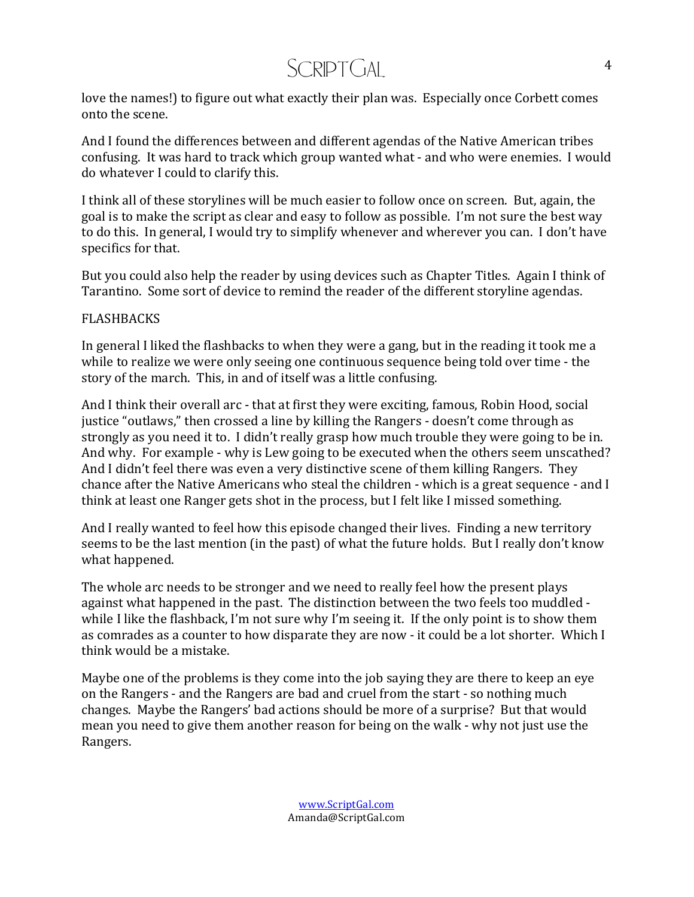# SCRIPT<sub>C</sub>IAI

love the names!) to figure out what exactly their plan was. Especially once Corbett comes onto the scene.

And I found the differences between and different agendas of the Native American tribes confusing. It was hard to track which group wanted what - and who were enemies. I would do whatever I could to clarify this.

I think all of these storylines will be much easier to follow once on screen. But, again, the goal is to make the script as clear and easy to follow as possible. I'm not sure the best way to do this. In general, I would try to simplify whenever and wherever you can. I don't have specifics for that.

But you could also help the reader by using devices such as Chapter Titles. Again I think of Tarantino. Some sort of device to remind the reader of the different storyline agendas.

### FLASHBACKS

In general I liked the flashbacks to when they were a gang, but in the reading it took me a while to realize we were only seeing one continuous sequence being told over time - the story of the march. This, in and of itself was a little confusing.

And I think their overall arc - that at first they were exciting, famous, Robin Hood, social justice "outlaws," then crossed a line by killing the Rangers - doesn't come through as strongly as you need it to. I didn't really grasp how much trouble they were going to be in. And why. For example - why is Lew going to be executed when the others seem unscathed? And I didn't feel there was even a very distinctive scene of them killing Rangers. They chance after the Native Americans who steal the children - which is a great sequence - and I think at least one Ranger gets shot in the process, but I felt like I missed something.

And I really wanted to feel how this episode changed their lives. Finding a new territory seems to be the last mention (in the past) of what the future holds. But I really don't know what happened.

The whole arc needs to be stronger and we need to really feel how the present plays against what happened in the past. The distinction between the two feels too muddled while I like the flashback, I'm not sure why I'm seeing it. If the only point is to show them as comrades as a counter to how disparate they are now - it could be a lot shorter. Which I think would be a mistake.

Maybe one of the problems is they come into the job saying they are there to keep an eye on the Rangers - and the Rangers are bad and cruel from the start - so nothing much changes. Maybe the Rangers' bad actions should be more of a surprise? But that would mean you need to give them another reason for being on the walk - why not just use the Rangers.